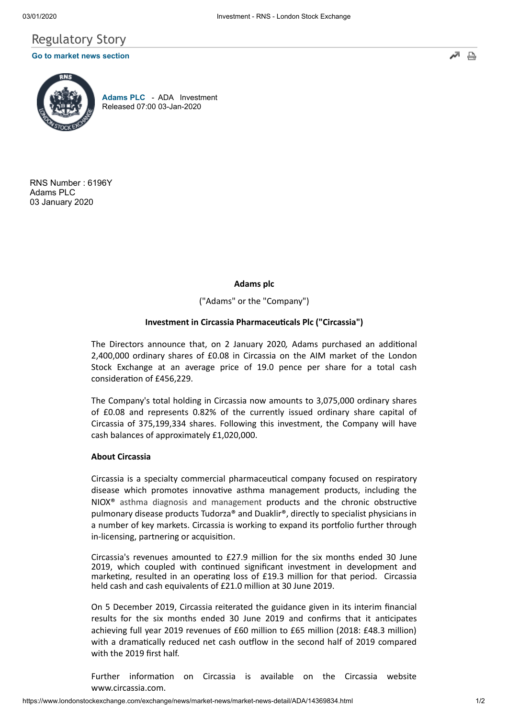# Regulatory Story

## **[Go to market news section](javascript: sendto()**



**[Adams PLC](https://www.londonstockexchange.com/exchange/prices-and-markets/stocks/summary/company-summary-via-tidm.html?tidm=ADA)** - ADA Investment Released 07:00 03-Jan-2020

RNS Number : 6196Y Adams PLC 03 January 2020

**Adams plc**

("Adams" or the "Company")

### **Investment in Circassia Pharmaceucals Plc ("Circassia")**

The Directors announce that, on 2 January 2020, Adams purchased an additional 2,400,000 ordinary shares of £0.08 in Circassia on the AIM market of the London Stock Exchange at an average price of 19.0 pence per share for a total cash consideration of £456,229.

The Company's total holding in Circassia now amounts to 3,075,000 ordinary shares of £0.08 and represents 0.82% of the currently issued ordinary share capital of Circassia of 375,199,334 shares. Following this investment, the Company will have cash balances of approximately £1,020,000.

### **About Circassia**

Circassia is a specialty commercial pharmaceutical company focused on respiratory disease which promotes innovative asthma management products, including the  $NIOX<sup>®</sup>$  asthma diagnosis and management products and the chronic obstructive pulmonary disease products Tudorza® and Duaklir®, directly to specialist physicians in a number of key markets. Circassia is working to expand its portfolio further through in-licensing, partnering or acquisition.

Circassia's revenues amounted to £27.9 million for the six months ended 30 June 2019, which coupled with continued significant investment in development and marketing, resulted in an operating loss of  $£19.3$  million for that period. Circassia held cash and cash equivalents of £21.0 million at 30 June 2019.

On 5 December 2019, Circassia reiterated the guidance given in its interim financial results for the six months ended 30 June 2019 and confirms that it anticipates achieving full year 2019 revenues of £60 million to £65 million (2018: £48.3 million) with a dramatically reduced net cash outflow in the second half of 2019 compared with the 2019 first half.

Further information on Circassia is available on the Circassia website www.circassia.com.